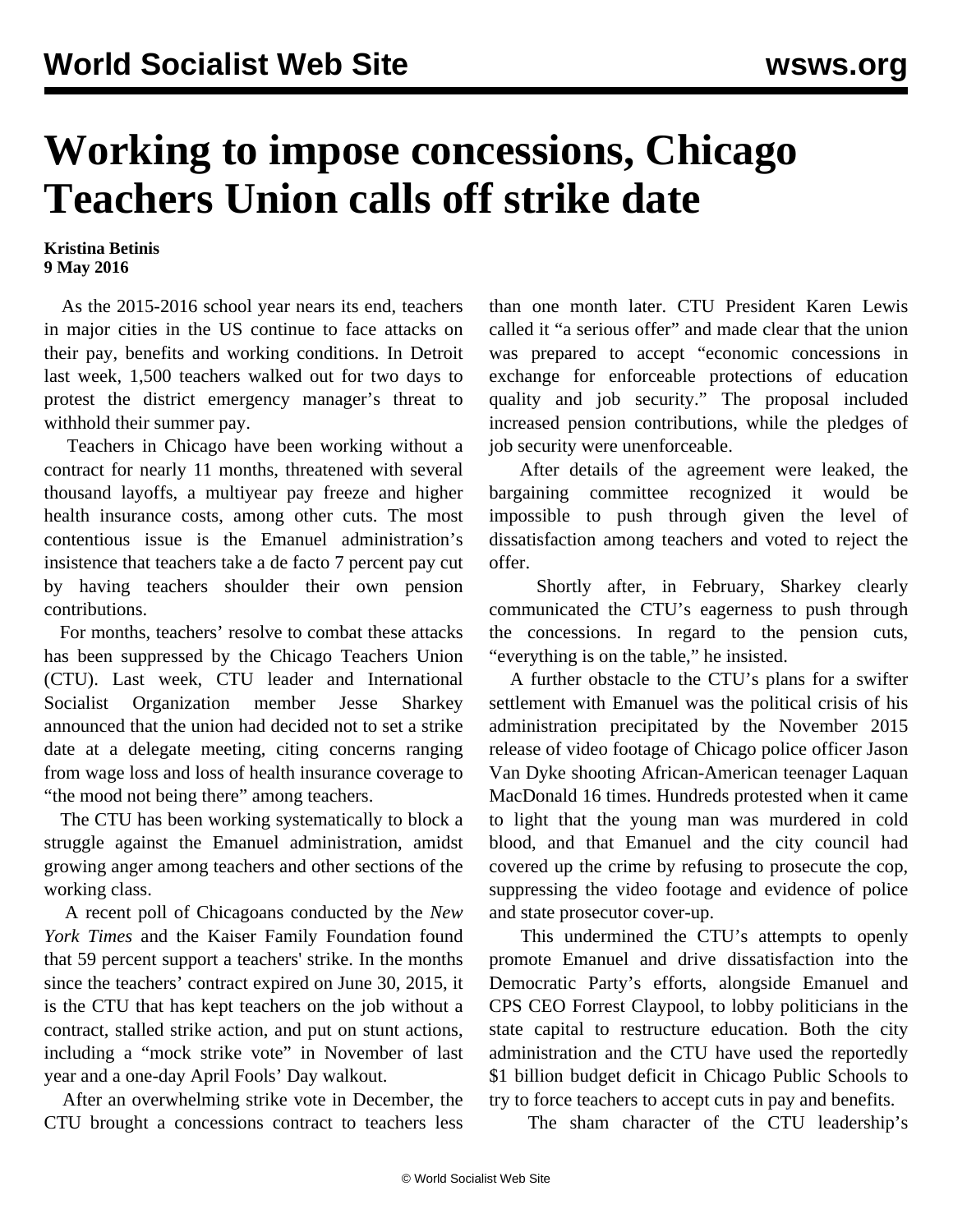## **Working to impose concessions, Chicago Teachers Union calls off strike date**

## **Kristina Betinis 9 May 2016**

 As the 2015-2016 school year nears its end, teachers in major cities in the US continue to face attacks on their pay, benefits and working conditions. In Detroit last week, 1,500 teachers walked out for two days to protest the district emergency manager's threat to withhold their summer pay.

 Teachers in Chicago have been working without a contract for nearly 11 months, threatened with several thousand layoffs, a multiyear pay freeze and higher health insurance costs, among other cuts. The most contentious issue is the Emanuel administration's insistence that teachers take a de facto 7 percent pay cut by having teachers shoulder their own pension contributions.

 For months, teachers' resolve to combat these attacks has been suppressed by the Chicago Teachers Union (CTU). Last week, CTU leader and International Socialist Organization member Jesse Sharkey announced that the union had decided not to set a strike date at a delegate meeting, citing concerns ranging from wage loss and loss of health insurance coverage to "the mood not being there" among teachers.

 The CTU has been working systematically to block a struggle against the Emanuel administration, amidst growing anger among teachers and other sections of the working class.

 A recent poll of Chicagoans conducted by the *New York Times* and the Kaiser Family Foundation found that 59 percent support a teachers' strike. In the months since the teachers' contract expired on June 30, 2015, it is the CTU that has kept teachers on the job without a contract, stalled strike action, and put on stunt actions, including a "mock strike vote" in November of last year and a one-day April Fools' Day walkout.

 After an overwhelming strike vote in December, the CTU brought a concessions contract to teachers less than one month later. CTU President Karen Lewis called it "a serious offer" and made clear that the union was prepared to accept "economic concessions in exchange for enforceable protections of education quality and job security." The proposal included increased pension contributions, while the pledges of job security were unenforceable.

 After details of the agreement were leaked, the bargaining committee recognized it would be impossible to push through given the level of dissatisfaction among teachers and voted to reject the offer.

 Shortly after, in February, Sharkey clearly communicated the CTU's eagerness to push through the concessions. In regard to the pension cuts, "everything is on the table," he insisted.

 A further obstacle to the CTU's plans for a swifter settlement with Emanuel was the political crisis of his administration precipitated by the November 2015 release of video footage of Chicago police officer Jason Van Dyke shooting African-American teenager Laquan MacDonald 16 times. Hundreds protested when it came to light that the young man was murdered in cold blood, and that Emanuel and the city council had covered up the crime by refusing to prosecute the cop, suppressing the video footage and evidence of police and state prosecutor cover-up.

 This undermined the CTU's attempts to openly promote Emanuel and drive dissatisfaction into the Democratic Party's efforts, alongside Emanuel and CPS CEO Forrest Claypool, to lobby politicians in the state capital to restructure education. Both the city administration and the CTU have used the reportedly \$1 billion budget deficit in Chicago Public Schools to try to force teachers to accept cuts in pay and benefits.

The sham character of the CTU leadership's